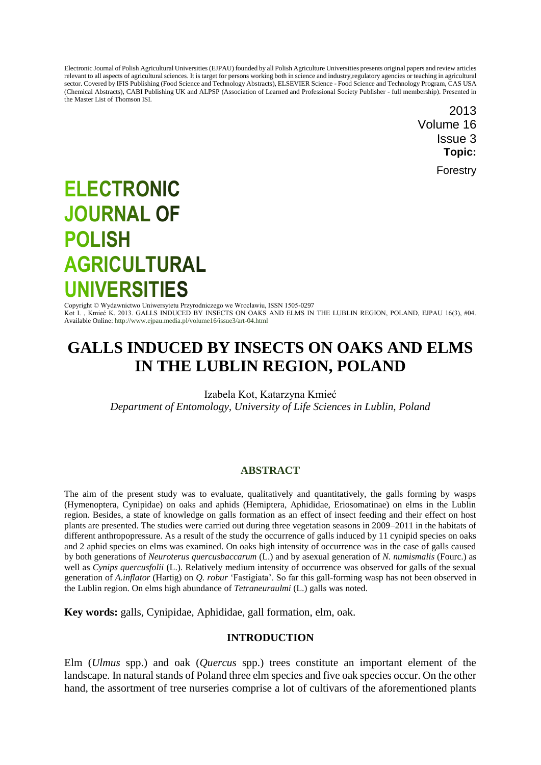Electronic Journal of Polish Agricultural Universities (EJPAU) founded by all Polish Agriculture Universities presents original papers and review articles relevant to all aspects of agricultural sciences. It is target for persons working both in science and industry,regulatory agencies or teaching in agricultural sector. Covered by IFIS Publishing (Food Science and Technology Abstracts), ELSEVIER Science - Food Science and Technology Program, CAS USA (Chemical Abstracts), CABI Publishing UK and ALPSP (Association of Learned and Professional Society Publisher - full membership). Presented in the Master List of Thomson ISI.

> 2013 Volume 16 Issue 3 **Topic:**

> > Forestry

# **ELECTRONIC JOURNAL OF POLISH AGRICULTURAL UNIVERSITIES**

Copyright © Wydawnictwo Uniwersytetu Przyrodniczego we Wroclawiu, ISSN 1505-0297 Kot I. , Kmieć K. 2013. GALLS INDUCED BY INSECTS ON OAKS AND ELMS IN THE LUBLIN REGION, POLAND, EJPAU 16(3), #04. Available Online[: http://www.ejpau.media.pl/volume16/issue3/art-04.html](http://www.ejpau.media.pl/volume16/issue3/art-04.html)

# **GALLS INDUCED BY INSECTS ON OAKS AND ELMS IN THE LUBLIN REGION, POLAND**

Izabela Kot, Katarzyna Kmieć

*Department of Entomology, University of Life Sciences in Lublin, Poland*

# **ABSTRACT**

The aim of the present study was to evaluate, qualitatively and quantitatively, the galls forming by wasps (Hymenoptera, Cynipidae) on oaks and aphids (Hemiptera, Aphididae, Eriosomatinae) on elms in the Lublin region. Besides, a state of knowledge on galls formation as an effect of insect feeding and their effect on host plants are presented. The studies were carried out during three vegetation seasons in 2009–2011 in the habitats of different anthropopressure. As a result of the study the occurrence of galls induced by 11 cynipid species on oaks and 2 aphid species on elms was examined. On oaks high intensity of occurrence was in the case of galls caused by both generations of *Neuroterus quercusbaccarum* (L.) and by asexual generation of *N. numismalis* (Fourc.) as well as *Cynips quercusfolii* (L.). Relatively medium intensity of occurrence was observed for galls of the sexual generation of *A.inflator* (Hartig) on *Q. robur* 'Fastigiata'. So far this gall-forming wasp has not been observed in the Lublin region. On elms high abundance of *Tetraneuraulmi* (L.) galls was noted.

**Key words:** galls, Cynipidae, Aphididae, gall formation, elm, oak.

#### **INTRODUCTION**

Elm (*Ulmus* spp.) and oak (*Quercus* spp.) trees constitute an important element of the landscape. In natural stands of Poland three elm species and five oak species occur. On the other hand, the assortment of tree nurseries comprise a lot of cultivars of the aforementioned plants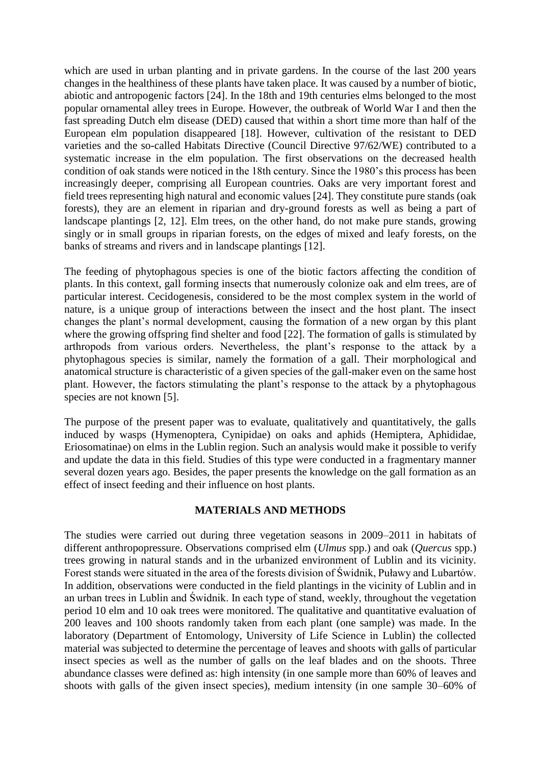which are used in urban planting and in private gardens. In the course of the last 200 years changes in the healthiness of these plants have taken place. It was caused by a number of biotic, abiotic and antropogenic factors [24]. In the 18th and 19th centuries elms belonged to the most popular ornamental alley trees in Europe. However, the outbreak of World War I and then the fast spreading Dutch elm disease (DED) caused that within a short time more than half of the European elm population disappeared [18]. However, cultivation of the resistant to DED varieties and the so-called Habitats Directive (Council Directive 97/62/WE) contributed to a systematic increase in the elm population. The first observations on the decreased health condition of oak stands were noticed in the 18th century. Since the 1980's this process has been increasingly deeper, comprising all European countries. Oaks are very important forest and field trees representing high natural and economic values [24]. They constitute pure stands (oak forests), they are an element in riparian and dry-ground forests as well as being a part of landscape plantings [2, 12]. Elm trees, on the other hand, do not make pure stands, growing singly or in small groups in riparian forests, on the edges of mixed and leafy forests, on the banks of streams and rivers and in landscape plantings [12].

The feeding of phytophagous species is one of the biotic factors affecting the condition of plants. In this context, gall forming insects that numerously colonize oak and elm trees, are of particular interest. Cecidogenesis, considered to be the most complex system in the world of nature, is a unique group of interactions between the insect and the host plant. The insect changes the plant's normal development, causing the formation of a new organ by this plant where the growing offspring find shelter and food [22]. The formation of galls is stimulated by arthropods from various orders. Nevertheless, the plant's response to the attack by a phytophagous species is similar, namely the formation of a gall. Their morphological and anatomical structure is characteristic of a given species of the gall-maker even on the same host plant. However, the factors stimulating the plant's response to the attack by a phytophagous species are not known [5].

The purpose of the present paper was to evaluate, qualitatively and quantitatively, the galls induced by wasps (Hymenoptera, Cynipidae) on oaks and aphids (Hemiptera, Aphididae, Eriosomatinae) on elms in the Lublin region. Such an analysis would make it possible to verify and update the data in this field. Studies of this type were conducted in a fragmentary manner several dozen years ago. Besides, the paper presents the knowledge on the gall formation as an effect of insect feeding and their influence on host plants.

# **MATERIALS AND METHODS**

The studies were carried out during three vegetation seasons in 2009–2011 in habitats of different anthropopressure. Observations comprised elm (*Ulmus* spp.) and oak (*Quercus* spp.) trees growing in natural stands and in the urbanized environment of Lublin and its vicinity. Forest stands were situated in the area of the forests division of Świdnik, Puławy and Lubartów. In addition, observations were conducted in the field plantings in the vicinity of Lublin and in an urban trees in Lublin and Świdnik. In each type of stand, weekly, throughout the vegetation period 10 elm and 10 oak trees were monitored. The qualitative and quantitative evaluation of 200 leaves and 100 shoots randomly taken from each plant (one sample) was made. In the laboratory (Department of Entomology, University of Life Science in Lublin) the collected material was subjected to determine the percentage of leaves and shoots with galls of particular insect species as well as the number of galls on the leaf blades and on the shoots. Three abundance classes were defined as: high intensity (in one sample more than 60% of leaves and shoots with galls of the given insect species), medium intensity (in one sample 30–60% of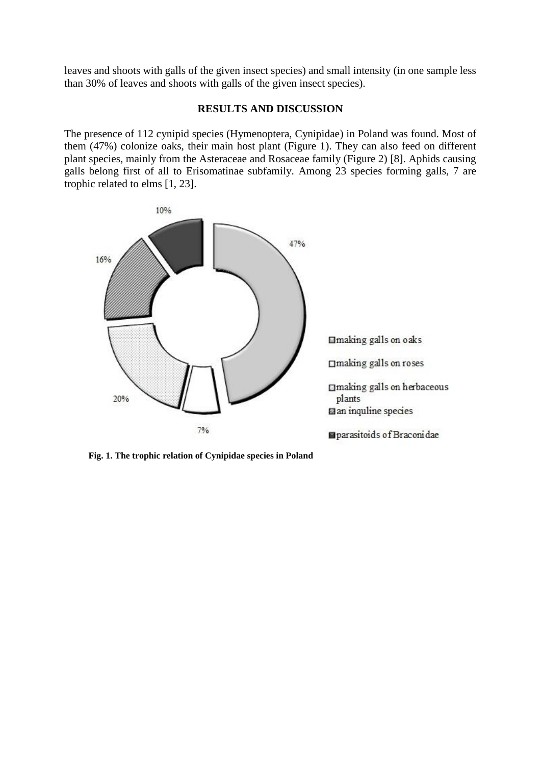leaves and shoots with galls of the given insect species) and small intensity (in one sample less than 30% of leaves and shoots with galls of the given insect species).

#### **RESULTS AND DISCUSSION**

The presence of 112 cynipid species (Hymenoptera, Cynipidae) in Poland was found. Most of them (47%) colonize oaks, their main host plant (Figure 1). They can also feed on different plant species, mainly from the Asteraceae and Rosaceae family (Figure 2) [8]. Aphids causing galls belong first of all to Erisomatinae subfamily. Among 23 species forming galls, 7 are trophic related to elms [1, 23].



**Fig. 1. The trophic relation of Cynipidae species in Poland**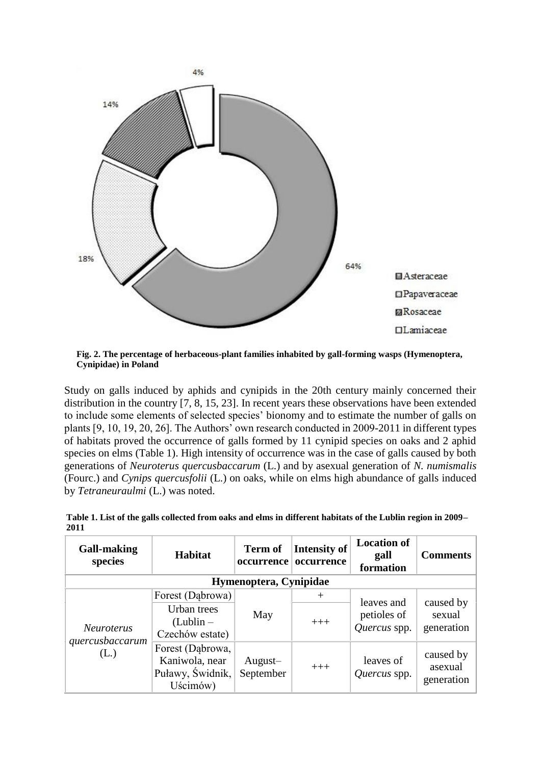

**Fig. 2. The percentage of herbaceous-plant families inhabited by gall-forming wasps (Hymenoptera, Cynipidae) in Poland**

Study on galls induced by aphids and cynipids in the 20th century mainly concerned their distribution in the country [7, 8, 15, 23]. In recent years these observations have been extended to include some elements of selected species' bionomy and to estimate the number of galls on plants [9, 10, 19, 20, 26]. The Authors' own research conducted in 2009-2011 in different types of habitats proved the occurrence of galls formed by 11 cynipid species on oaks and 2 aphid species on elms (Table 1). High intensity of occurrence was in the case of galls caused by both generations of *Neuroterus quercusbaccarum* (L.) and by asexual generation of *N. numismalis* (Fourc.) and *Cynips quercusfolii* (L.) on oaks, while on elms high abundance of galls induced by *Tetraneuraulmi* (L.) was noted.

| <b>Gall-making</b><br>species                | <b>Habitat</b>                                                     | <b>Term of</b><br>occurrence | Intensity of<br>occurrence | <b>Location of</b><br>gall<br>formation   | <b>Comments</b>                    |  |  |
|----------------------------------------------|--------------------------------------------------------------------|------------------------------|----------------------------|-------------------------------------------|------------------------------------|--|--|
| Hymenoptera, Cynipidae                       |                                                                    |                              |                            |                                           |                                    |  |  |
| <b>Neuroterus</b><br>quercusbaccarum<br>(L.) | Forest (Dabrowa)                                                   | May                          | $^{+}$                     | leaves and<br>petioles of<br>Quercus spp. | caused by<br>sexual<br>generation  |  |  |
|                                              | Urban trees<br>$(Lublin -$<br>Czechów estate)                      |                              | $+++$                      |                                           |                                    |  |  |
|                                              | Forest (Dabrowa,<br>Kaniwola, near<br>Puławy, Świdnik,<br>Uścimów) | August-<br>September         | $+++$                      | leaves of<br>Quercus spp.                 | caused by<br>asexual<br>generation |  |  |

**Table 1. List of the galls collected from oaks and elms in different habitats of the Lublin region in 2009– 2011**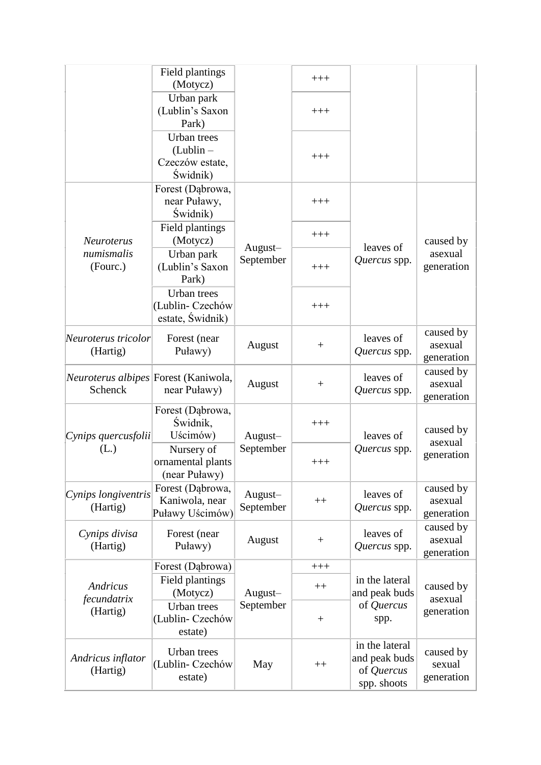|                                                 | Field plantings<br>(Motycz)                               |                      | $+++$   |                                                              |                                    |
|-------------------------------------------------|-----------------------------------------------------------|----------------------|---------|--------------------------------------------------------------|------------------------------------|
|                                                 | Urban park<br>(Lublin's Saxon<br>Park)                    |                      | $+++$   |                                                              |                                    |
|                                                 | Urban trees<br>$(Lublin -$<br>Czeczów estate,<br>Świdnik) |                      | $+++$   |                                                              |                                    |
| <b>Neuroterus</b><br>numismalis<br>(Fourc.)     | Forest (Dąbrowa,<br>near Puławy,<br>Świdnik)              | August-<br>September | $+++$   | leaves of<br>Quercus spp.                                    | caused by<br>asexual<br>generation |
|                                                 | Field plantings<br>(Motycz)                               |                      | $+++$   |                                                              |                                    |
|                                                 | Urban park<br>(Lublin's Saxon<br>Park)                    |                      | $+++$   |                                                              |                                    |
|                                                 | Urban trees<br>(Lublin-Czechów<br>estate, Świdnik)        |                      | $+++$   |                                                              |                                    |
| Neuroterus tricolor<br>(Hartig)                 | Forest (near<br>Puławy)                                   | August               | $^{+}$  | leaves of<br>Quercus spp.                                    | caused by<br>asexual<br>generation |
| Neuroterus albipes Forest (Kaniwola,<br>Schenck | near Puławy)                                              | August               | $^{+}$  | leaves of<br>Quercus spp.                                    | caused by<br>asexual<br>generation |
| Cynips quercusfolii<br>(L.)                     | Forest (Dąbrowa,<br>Świdnik,<br>Uścimów)                  | August-<br>September | $+++$   | leaves of                                                    | caused by<br>asexual               |
|                                                 | Nursery of<br>ornamental plants<br>(near Puławy)          |                      | $+++$   | Quercus spp.                                                 | generation                         |
| Cynips longiventris<br>(Hartig)                 | Forest (Dąbrowa,<br>Kaniwola, near<br>Puławy Uścimów)     | August-<br>September | $^{++}$ | leaves of<br>Quercus spp.                                    | caused by<br>asexual<br>generation |
| Cynips divisa<br>(Hartig)                       | Forest (near<br>Puławy)                                   | August               | $^{+}$  | leaves of<br>Quercus spp.                                    | caused by<br>asexual<br>generation |
| Andricus<br>fecundatrix<br>(Hartig)             | Forest (Dąbrowa)                                          | August-<br>September | $+++$   |                                                              | caused by<br>asexual<br>generation |
|                                                 | Field plantings<br>(Motycz)                               |                      | $++$    | in the lateral<br>and peak buds                              |                                    |
|                                                 | Urban trees<br>(Lublin-Czechów<br>estate)                 |                      | $+$     | of Quercus<br>spp.                                           |                                    |
| Andricus inflator<br>(Hartig)                   | Urban trees<br>(Lublin-Czechów<br>estate)                 | May                  | $++$    | in the lateral<br>and peak buds<br>of Quercus<br>spp. shoots | caused by<br>sexual<br>generation  |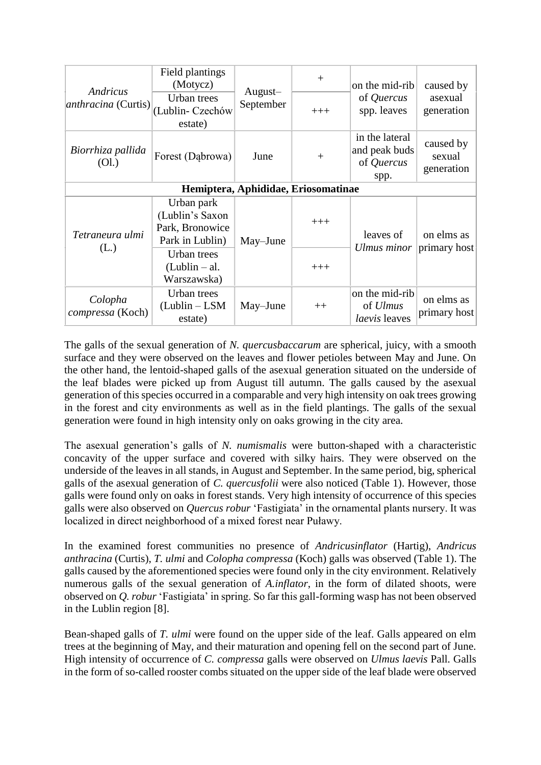| Andricus<br><i>anthracina</i> (Curtis) | Field plantings<br>(Motycz)<br>Urban trees<br>(Lublin-Czechów<br>estate) | August-<br>September | $^{+}$<br>$+++$ | on the mid-rib<br>of Quercus<br>spp. leaves           | caused by<br>asexual<br>generation |  |  |
|----------------------------------------|--------------------------------------------------------------------------|----------------------|-----------------|-------------------------------------------------------|------------------------------------|--|--|
| Biorrhiza pallida<br>(OL)              | Forest (Dabrowa)                                                         | June                 | $+$             | in the lateral<br>and peak buds<br>of Quercus<br>spp. | caused by<br>sexual<br>generation  |  |  |
| Hemiptera, Aphididae, Eriosomatinae    |                                                                          |                      |                 |                                                       |                                    |  |  |
| Tetraneura ulmi<br>(L.)                | Urban park<br>(Lublin's Saxon<br>Park, Bronowice<br>Park in Lublin)      | May-June             | $+++$           | leaves of<br>Ulmus minor                              | on elms as<br>primary host         |  |  |
|                                        | Urban trees<br>$(Lublin - al.$<br>Warszawska)                            |                      | $+++$           |                                                       |                                    |  |  |
| Colopha<br>compressa (Koch)            | Urban trees<br>$(Lublin - LSM)$<br>estate)                               | May-June             | $++$            | on the mid-rib<br>of <i>Ulmus</i><br>laevis leaves    | on elms as<br>primary host         |  |  |

The galls of the sexual generation of *N. quercusbaccarum* are spherical, juicy, with a smooth surface and they were observed on the leaves and flower petioles between May and June. On the other hand, the lentoid-shaped galls of the asexual generation situated on the underside of the leaf blades were picked up from August till autumn. The galls caused by the asexual generation of this species occurred in a comparable and very high intensity on oak trees growing in the forest and city environments as well as in the field plantings. The galls of the sexual generation were found in high intensity only on oaks growing in the city area.

The asexual generation's galls of *N. numismalis* were button-shaped with a characteristic concavity of the upper surface and covered with silky hairs. They were observed on the underside of the leaves in all stands, in August and September. In the same period, big, spherical galls of the asexual generation of *C. quercusfolii* were also noticed (Table 1). However, those galls were found only on oaks in forest stands. Very high intensity of occurrence of this species galls were also observed on *Quercus robur* 'Fastigiata' in the ornamental plants nursery. It was localized in direct neighborhood of a mixed forest near Puławy.

In the examined forest communities no presence of *Andricusinflator* (Hartig), *Andricus anthracina* (Curtis), *T. ulmi* and *Colopha compressa* (Koch) galls was observed (Table 1). The galls caused by the aforementioned species were found only in the city environment. Relatively numerous galls of the sexual generation of *A.inflator*, in the form of dilated shoots, were observed on *Q. robur* 'Fastigiata' in spring. So far this gall-forming wasp has not been observed in the Lublin region [8].

Bean-shaped galls of *T. ulmi* were found on the upper side of the leaf. Galls appeared on elm trees at the beginning of May, and their maturation and opening fell on the second part of June. High intensity of occurrence of *C. compressa* galls were observed on *Ulmus laevis* Pall*.* Galls in the form of so-called rooster combs situated on the upper side of the leaf blade were observed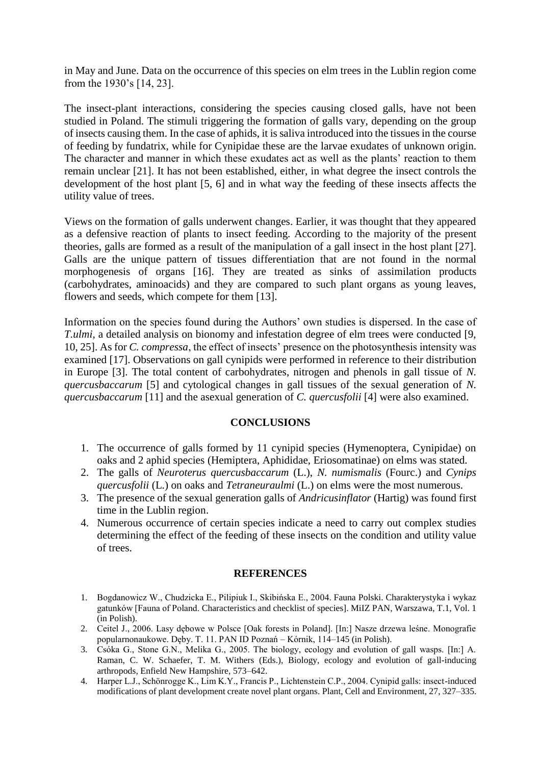in May and June. Data on the occurrence of this species on elm trees in the Lublin region come from the 1930's [14, 23].

The insect-plant interactions, considering the species causing closed galls, have not been studied in Poland. The stimuli triggering the formation of galls vary, depending on the group of insects causing them. In the case of aphids, it is saliva introduced into the tissues in the course of feeding by fundatrix, while for Cynipidae these are the larvae exudates of unknown origin. The character and manner in which these exudates act as well as the plants' reaction to them remain unclear [21]. It has not been established, either, in what degree the insect controls the development of the host plant [5, 6] and in what way the feeding of these insects affects the utility value of trees.

Views on the formation of galls underwent changes. Earlier, it was thought that they appeared as a defensive reaction of plants to insect feeding. According to the majority of the present theories, galls are formed as a result of the manipulation of a gall insect in the host plant [27]. Galls are the unique pattern of tissues differentiation that are not found in the normal morphogenesis of organs [16]. They are treated as sinks of assimilation products (carbohydrates, aminoacids) and they are compared to such plant organs as young leaves, flowers and seeds, which compete for them [13].

Information on the species found during the Authors' own studies is dispersed. In the case of *T.ulmi*, a detailed analysis on bionomy and infestation degree of elm trees were conducted [9, 10, 25]. As for *C. compressa*, the effect of insects' presence on the photosynthesis intensity was examined [17]. Observations on gall cynipids were performed in reference to their distribution in Europe [3]. The total content of carbohydrates, nitrogen and phenols in gall tissue of *N. quercusbaccarum* [5] and cytological changes in gall tissues of the sexual generation of *N. quercusbaccarum* [11] and the asexual generation of *C. quercusfolii* [4] were also examined.

# **CONCLUSIONS**

- 1. The occurrence of galls formed by 11 cynipid species (Hymenoptera, Cynipidae) on oaks and 2 aphid species (Hemiptera, Aphididae, Eriosomatinae) on elms was stated.
- 2. The galls of *Neuroterus quercusbaccarum* (L.), *N. numismalis* (Fourc.) and *Cynips quercusfolii* (L.) on oaks and *Tetraneuraulmi* (L.) on elms were the most numerous.
- 3. The presence of the sexual generation galls of *Andricusinflator* (Hartig) was found first time in the Lublin region.
- 4. Numerous occurrence of certain species indicate a need to carry out complex studies determining the effect of the feeding of these insects on the condition and utility value of trees.

#### **REFERENCES**

- 1. Bogdanowicz W., Chudzicka E., Pilipiuk I., Skibińska E., 2004. Fauna Polski. Charakterystyka i wykaz gatunków [Fauna of Poland. Characteristics and checklist of species]. MiIZ PAN, Warszawa, T.1, Vol. 1 (in Polish).
- 2. Ceitel J., 2006. Lasy dębowe w Polsce [Oak forests in Poland]. [In:] Nasze drzewa leśne. Monografie popularnonaukowe. Dęby. T. 11. PAN ID Poznań – Kórnik, 114–145 (in Polish).
- 3. Csóka G., Stone G.N., Melika G., 2005. The biology, ecology and evolution of gall wasps. [In:] A. Raman, C. W. Schaefer, T. M. Withers (Eds.), Biology, ecology and evolution of gall-inducing arthropods, Enfield New Hampshire, 573–642.
- 4. Harper L.J., Schönrogge K., Lim K.Y., Francis P., Lichtenstein C.P., 2004. Cynipid galls: insect-induced modifications of plant development create novel plant organs. Plant, Cell and Environment, 27, 327–335.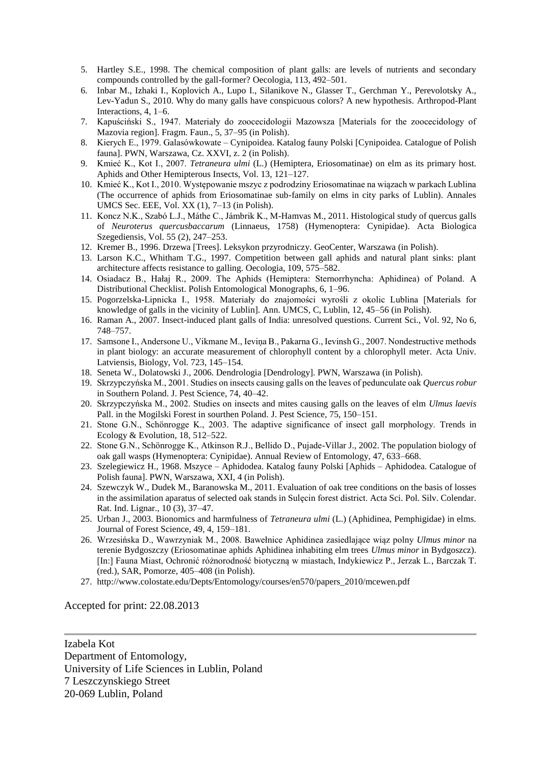- 5. Hartley S.E., 1998. The chemical composition of plant galls: are levels of nutrients and secondary compounds controlled by the gall-former? Oecologia, 113, 492–501.
- 6. Inbar M., Izhaki I., Koplovich A., Lupo I., Silanikove N., Glasser T., Gerchman Y., Perevolotsky A., Lev-Yadun S., 2010. Why do many galls have conspicuous colors? A new hypothesis. Arthropod-Plant Interactions, 4, 1–6.
- 7. Kapuściński S., 1947. Materiały do zoocecidologii Mazowsza [Materials for the zoocecidology of Mazovia region]. Fragm. Faun., 5, 37–95 (in Polish).
- 8. Kierych E., 1979. Galasówkowate Cynipoidea. Katalog fauny Polski [Cynipoidea. Catalogue of Polish fauna]. PWN, Warszawa, Cz. XXVI, z. 2 (in Polish).
- 9. Kmieć K., Kot I., 2007. *Tetraneura ulmi* (L.) (Hemiptera, Eriosomatinae) on elm as its primary host. Aphids and Other Hemipterous Insects, Vol. 13, 121–127.
- 10. Kmieć K., Kot I., 2010. Występowanie mszyc z podrodziny Eriosomatinae na wiązach w parkach Lublina (The occurrence of aphids from Eriosomatinae sub-family on elms in city parks of Lublin). Annales UMCS Sec. EEE, Vol. XX (1), 7–13 (in Polish).
- 11. Koncz N.K., Szabó L.J., Máthe C., Jámbrik K., M-Hamvas M., 2011. Histological study of quercus galls of *Neuroterus quercusbaccarum* (Linnaeus, 1758) (Hymenoptera: Cynipidae). Acta Biologica Szegediensis, Vol. 55 (2), 247–253.
- 12. Kremer B., 1996. Drzewa [Trees]. Leksykon przyrodniczy. GeoCenter, Warszawa (in Polish).
- 13. Larson K.C., Whitham T.G., 1997. Competition between gall aphids and natural plant sinks: plant architecture affects resistance to galling. Oecologia, 109, 575–582.
- 14. Osiadacz B., Hałaj R., 2009. The Aphids (Hemiptera: Sternorrhyncha: Aphidinea) of Poland. A Distributional Checklist. Polish Entomological Monographs, 6, 1–96.
- 15. Pogorzelska-Lipnicka I., 1958. Materiały do znajomości wyrośli z okolic Lublina [Materials for knowledge of galls in the vicinity of Lublin]. Ann. UMCS, C, Lublin, 12, 45–56 (in Polish).
- 16. Raman A., 2007. Insect-induced plant galls of India: unresolved questions. Current Sci., Vol. 92, No 6, 748–757.
- 17. Samsone I., Andersone U., Vikmane M., Ieviņa B., Pakarna G., Ievinsh G., 2007. Nondestructive methods in plant biology: an accurate measurement of chlorophyll content by a chlorophyll meter. Acta Univ. Latviensis, Biology, Vol. 723, 145–154.
- 18. Seneta W., Dolatowski J., 2006. Dendrologia [Dendrology]. PWN, Warszawa (in Polish).
- 19. Skrzypczyńska M., 2001. Studies on insects causing galls on the leaves of pedunculate oak *Quercus robur*  in Southern Poland. J. Pest Science, 74, 40–42.
- 20. Skrzypczyńska M., 2002. Studies on insects and mites causing galls on the leaves of elm *Ulmus laevis*  Pall. in the Mogilski Forest in sourthen Poland. J. Pest Science, 75, 150–151.
- 21. Stone G.N., Schönrogge K., 2003. The adaptive significance of insect gall morphology. Trends in Ecology & Evolution, 18, 512–522.
- 22. Stone G.N., Schönrogge K., Atkinson R.J., Bellido D., Pujade-Villar J., 2002. The population biology of oak gall wasps (Hymenoptera: Cynipidae). Annual Review of Entomology, 47, 633–668.
- 23. Szelegiewicz H., 1968. Mszyce Aphidodea. Katalog fauny Polski [Aphids Aphidodea. Catalogue of Polish fauna]. PWN, Warszawa, XXI, 4 (in Polish).
- 24. Szewczyk W., Dudek M., Baranowska M., 2011. Evaluation of oak tree conditions on the basis of losses in the assimilation aparatus of selected oak stands in Sulęcin forest district. Acta Sci. Pol. Silv. Colendar. Rat. Ind. Lignar., 10 (3), 37–47.
- 25. Urban J., 2003. Bionomics and harmfulness of *Tetraneura ulmi* (L.) (Aphidinea, Pemphigidae) in elms. Journal of Forest Science, 49, 4, 159–181.
- 26. Wrzesińska D., Wawrzyniak M., 2008. Bawełnice Aphidinea zasiedlające wiąz polny *Ulmus minor* na terenie Bydgoszczy (Eriosomatinae aphids Aphidinea inhabiting elm trees *Ulmus minor* in Bydgoszcz). [In:] Fauna Miast, Ochronić różnorodność biotyczną w miastach, Indykiewicz P., Jerzak L., Barczak T. (red.), SAR, Pomorze, 405–408 (in Polish).
- 27. http://www.colostate.edu/Depts/Entomology/courses/en570/papers\_2010/mcewen.pdf

Accepted for print: 22.08.2013

Izabela Kot Department of Entomology, University of Life Sciences in Lublin, Poland 7 Leszczynskiego Street 20-069 Lublin, Poland